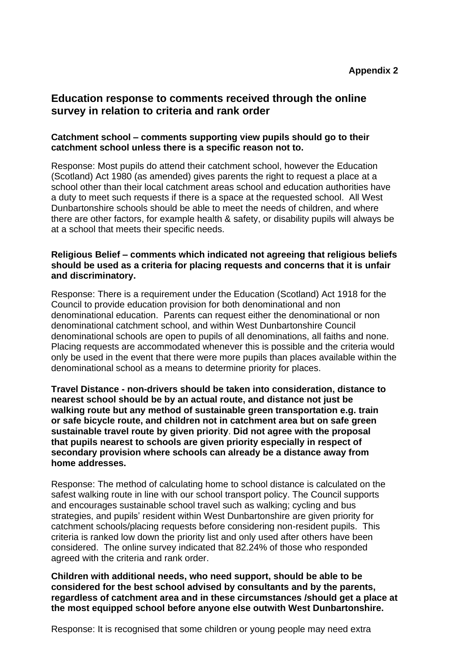# **Education response to comments received through the online survey in relation to criteria and rank order**

# **Catchment school – comments supporting view pupils should go to their catchment school unless there is a specific reason not to.**

Response: Most pupils do attend their catchment school, however the Education (Scotland) Act 1980 (as amended) gives parents the right to request a place at a school other than their local catchment areas school and education authorities have a duty to meet such requests if there is a space at the requested school. All West Dunbartonshire schools should be able to meet the needs of children, and where there are other factors, for example health & safety, or disability pupils will always be at a school that meets their specific needs.

#### **Religious Belief – comments which indicated not agreeing that religious beliefs should be used as a criteria for placing requests and concerns that it is unfair and discriminatory.**

Response: There is a requirement under the Education (Scotland) Act 1918 for the Council to provide education provision for both denominational and non denominational education. Parents can request either the denominational or non denominational catchment school, and within West Dunbartonshire Council denominational schools are open to pupils of all denominations, all faiths and none. Placing requests are accommodated whenever this is possible and the criteria would only be used in the event that there were more pupils than places available within the denominational school as a means to determine priority for places.

**Travel Distance - non-drivers should be taken into consideration, distance to nearest school should be by an actual route, and distance not just be walking route but any method of sustainable green transportation e.g. train or safe bicycle route, and children not in catchment area but on safe green sustainable travel route by given priority**. **Did not agree with the proposal that pupils nearest to schools are given priority especially in respect of secondary provision where schools can already be a distance away from home addresses.**

Response: The method of calculating home to school distance is calculated on the safest walking route in line with our school transport policy. The Council supports and encourages sustainable school travel such as walking; cycling and bus strategies, and pupils' resident within West Dunbartonshire are given priority for catchment schools/placing requests before considering non-resident pupils. This criteria is ranked low down the priority list and only used after others have been considered. The online survey indicated that 82.24% of those who responded agreed with the criteria and rank order.

**Children with additional needs, who need support, should be able to be considered for the best school advised by consultants and by the parents, regardless of catchment area and in these circumstances /should get a place at the most equipped school before anyone else outwith West Dunbartonshire.**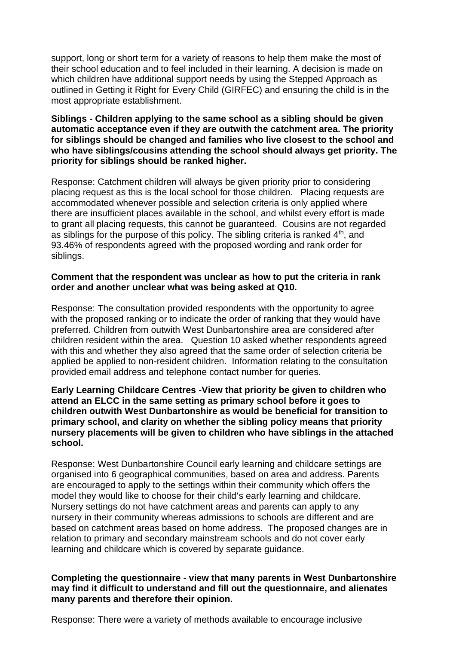support, long or short term for a variety of reasons to help them make the most of their school education and to feel included in their learning. A decision is made on which children have additional support needs by using the Stepped Approach as outlined in Getting it Right for Every Child (GIRFEC) and ensuring the child is in the most appropriate establishment.

**Siblings - Children applying to the same school as a sibling should be given automatic acceptance even if they are outwith the catchment area. The priority for siblings should be changed and families who live closest to the school and who have siblings/cousins attending the school should always get priority. The priority for siblings should be ranked higher.**

Response: Catchment children will always be given priority prior to considering placing request as this is the local school for those children. Placing requests are accommodated whenever possible and selection criteria is only applied where there are insufficient places available in the school, and whilst every effort is made to grant all placing requests, this cannot be guaranteed. Cousins are not regarded as siblings for the purpose of this policy. The sibling criteria is ranked  $4<sup>th</sup>$ , and 93.46% of respondents agreed with the proposed wording and rank order for siblings.

#### **Comment that the respondent was unclear as how to put the criteria in rank order and another unclear what was being asked at Q10.**

Response: The consultation provided respondents with the opportunity to agree with the proposed ranking or to indicate the order of ranking that they would have preferred. Children from outwith West Dunbartonshire area are considered after children resident within the area. Question 10 asked whether respondents agreed with this and whether they also agreed that the same order of selection criteria be applied be applied to non-resident children. Information relating to the consultation provided email address and telephone contact number for queries.

**Early Learning Childcare Centres -View that priority be given to children who attend an ELCC in the same setting as primary school before it goes to children outwith West Dunbartonshire as would be beneficial for transition to primary school, and clarity on whether the sibling policy means that priority nursery placements will be given to children who have siblings in the attached school.**

Response: West Dunbartonshire Council early learning and childcare settings are organised into 6 geographical communities, based on area and address. Parents are encouraged to apply to the settings within their community which offers the model they would like to choose for their child's early learning and childcare. Nursery settings do not have catchment areas and parents can apply to any nursery in their community whereas admissions to schools are different and are based on catchment areas based on home address. The proposed changes are in relation to primary and secondary mainstream schools and do not cover early learning and childcare which is covered by separate guidance.

#### **Completing the questionnaire - view that many parents in West Dunbartonshire may find it difficult to understand and fill out the questionnaire, and alienates many parents and therefore their opinion.**

Response: There were a variety of methods available to encourage inclusive